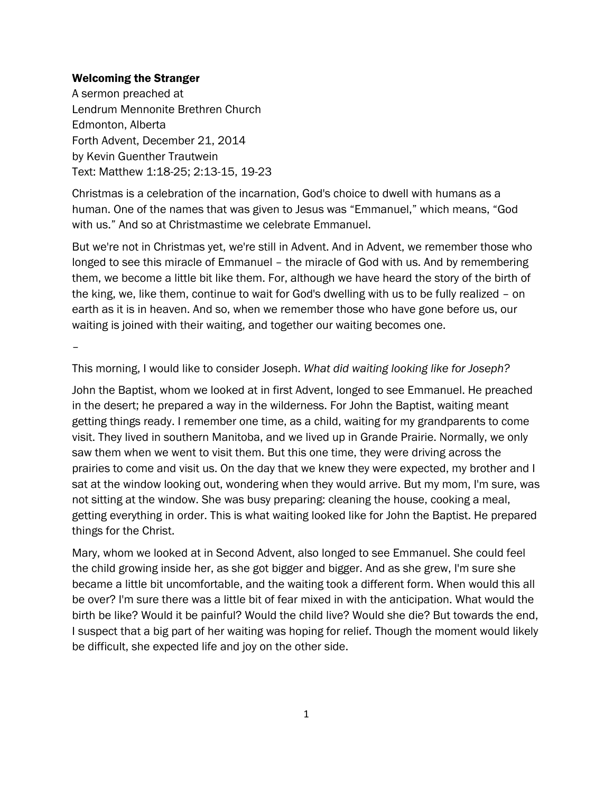### Welcoming the Stranger

A sermon preached at Lendrum Mennonite Brethren Church Edmonton, Alberta Forth Advent, December 21, 2014 by Kevin Guenther Trautwein Text: Matthew 1:18-25; 2:13-15, 19-23

Christmas is a celebration of the incarnation, God's choice to dwell with humans as a human. One of the names that was given to Jesus was "Emmanuel," which means, "God with us." And so at Christmastime we celebrate Emmanuel.

But we're not in Christmas yet, we're still in Advent. And in Advent, we remember those who longed to see this miracle of Emmanuel – the miracle of God with us. And by remembering them, we become a little bit like them. For, although we have heard the story of the birth of the king, we, like them, continue to wait for God's dwelling with us to be fully realized – on earth as it is in heaven. And so, when we remember those who have gone before us, our waiting is joined with their waiting, and together our waiting becomes one.

–

This morning, I would like to consider Joseph. *What did waiting looking like for Joseph?*

John the Baptist, whom we looked at in first Advent, longed to see Emmanuel. He preached in the desert; he prepared a way in the wilderness. For John the Baptist, waiting meant getting things ready. I remember one time, as a child, waiting for my grandparents to come visit. They lived in southern Manitoba, and we lived up in Grande Prairie. Normally, we only saw them when we went to visit them. But this one time, they were driving across the prairies to come and visit us. On the day that we knew they were expected, my brother and I sat at the window looking out, wondering when they would arrive. But my mom, I'm sure, was not sitting at the window. She was busy preparing: cleaning the house, cooking a meal, getting everything in order. This is what waiting looked like for John the Baptist. He prepared things for the Christ.

Mary, whom we looked at in Second Advent, also longed to see Emmanuel. She could feel the child growing inside her, as she got bigger and bigger. And as she grew, I'm sure she became a little bit uncomfortable, and the waiting took a different form. When would this all be over? I'm sure there was a little bit of fear mixed in with the anticipation. What would the birth be like? Would it be painful? Would the child live? Would she die? But towards the end, I suspect that a big part of her waiting was hoping for relief. Though the moment would likely be difficult, she expected life and joy on the other side.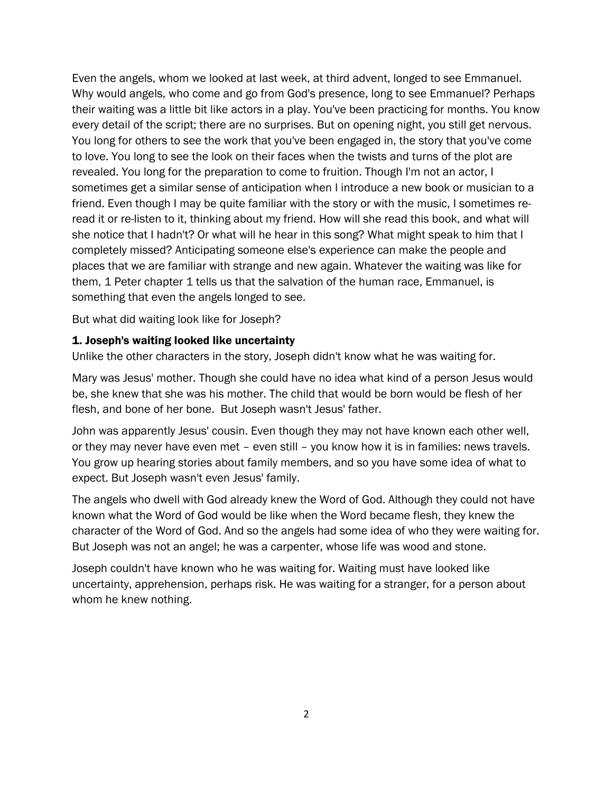Even the angels, whom we looked at last week, at third advent, longed to see Emmanuel. Why would angels, who come and go from God's presence, long to see Emmanuel? Perhaps their waiting was a little bit like actors in a play. You've been practicing for months. You know every detail of the script; there are no surprises. But on opening night, you still get nervous. You long for others to see the work that you've been engaged in, the story that you've come to love. You long to see the look on their faces when the twists and turns of the plot are revealed. You long for the preparation to come to fruition. Though I'm not an actor, I sometimes get a similar sense of anticipation when I introduce a new book or musician to a friend. Even though I may be quite familiar with the story or with the music, I sometimes reread it or re-listen to it, thinking about my friend. How will she read this book, and what will she notice that I hadn't? Or what will he hear in this song? What might speak to him that I completely missed? Anticipating someone else's experience can make the people and places that we are familiar with strange and new again. Whatever the waiting was like for them, 1 Peter chapter 1 tells us that the salvation of the human race, Emmanuel, is something that even the angels longed to see.

But what did waiting look like for Joseph?

# 1. Joseph's waiting looked like uncertainty

Unlike the other characters in the story, Joseph didn't know what he was waiting for.

Mary was Jesus' mother. Though she could have no idea what kind of a person Jesus would be, she knew that she was his mother. The child that would be born would be flesh of her flesh, and bone of her bone. But Joseph wasn't Jesus' father.

John was apparently Jesus' cousin. Even though they may not have known each other well, or they may never have even met – even still – you know how it is in families: news travels. You grow up hearing stories about family members, and so you have some idea of what to expect. But Joseph wasn't even Jesus' family.

The angels who dwell with God already knew the Word of God. Although they could not have known what the Word of God would be like when the Word became flesh, they knew the character of the Word of God. And so the angels had some idea of who they were waiting for. But Joseph was not an angel; he was a carpenter, whose life was wood and stone.

Joseph couldn't have known who he was waiting for. Waiting must have looked like uncertainty, apprehension, perhaps risk. He was waiting for a stranger, for a person about whom he knew nothing.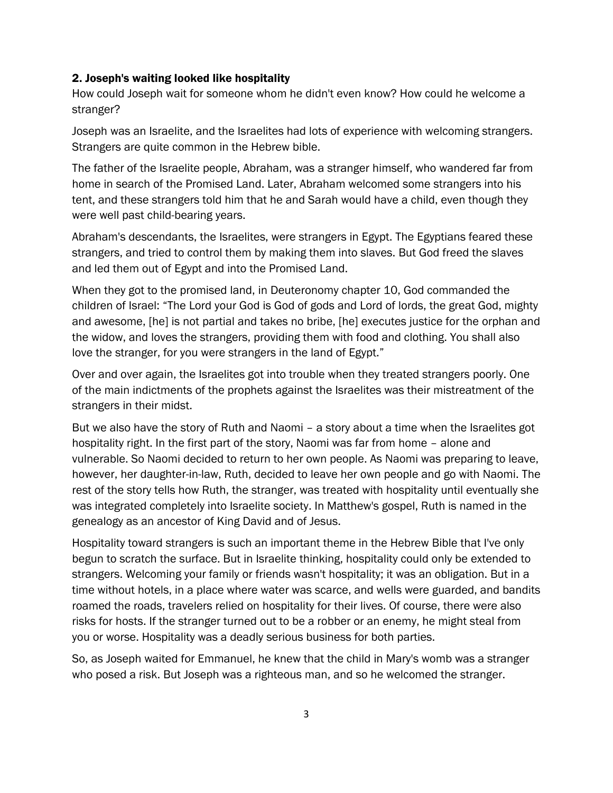#### 2. Joseph's waiting looked like hospitality

How could Joseph wait for someone whom he didn't even know? How could he welcome a stranger?

Joseph was an Israelite, and the Israelites had lots of experience with welcoming strangers. Strangers are quite common in the Hebrew bible.

The father of the Israelite people, Abraham, was a stranger himself, who wandered far from home in search of the Promised Land. Later, Abraham welcomed some strangers into his tent, and these strangers told him that he and Sarah would have a child, even though they were well past child-bearing years.

Abraham's descendants, the Israelites, were strangers in Egypt. The Egyptians feared these strangers, and tried to control them by making them into slaves. But God freed the slaves and led them out of Egypt and into the Promised Land.

When they got to the promised land, in Deuteronomy chapter 10, God commanded the children of Israel: "The Lord your God is God of gods and Lord of lords, the great God, mighty and awesome, [he] is not partial and takes no bribe, [he] executes justice for the orphan and the widow, and loves the strangers, providing them with food and clothing. You shall also love the stranger, for you were strangers in the land of Egypt."

Over and over again, the Israelites got into trouble when they treated strangers poorly. One of the main indictments of the prophets against the Israelites was their mistreatment of the strangers in their midst.

But we also have the story of Ruth and Naomi – a story about a time when the Israelites got hospitality right. In the first part of the story, Naomi was far from home – alone and vulnerable. So Naomi decided to return to her own people. As Naomi was preparing to leave, however, her daughter-in-law, Ruth, decided to leave her own people and go with Naomi. The rest of the story tells how Ruth, the stranger, was treated with hospitality until eventually she was integrated completely into Israelite society. In Matthew's gospel, Ruth is named in the genealogy as an ancestor of King David and of Jesus.

Hospitality toward strangers is such an important theme in the Hebrew Bible that I've only begun to scratch the surface. But in Israelite thinking, hospitality could only be extended to strangers. Welcoming your family or friends wasn't hospitality; it was an obligation. But in a time without hotels, in a place where water was scarce, and wells were guarded, and bandits roamed the roads, travelers relied on hospitality for their lives. Of course, there were also risks for hosts. If the stranger turned out to be a robber or an enemy, he might steal from you or worse. Hospitality was a deadly serious business for both parties.

So, as Joseph waited for Emmanuel, he knew that the child in Mary's womb was a stranger who posed a risk. But Joseph was a righteous man, and so he welcomed the stranger.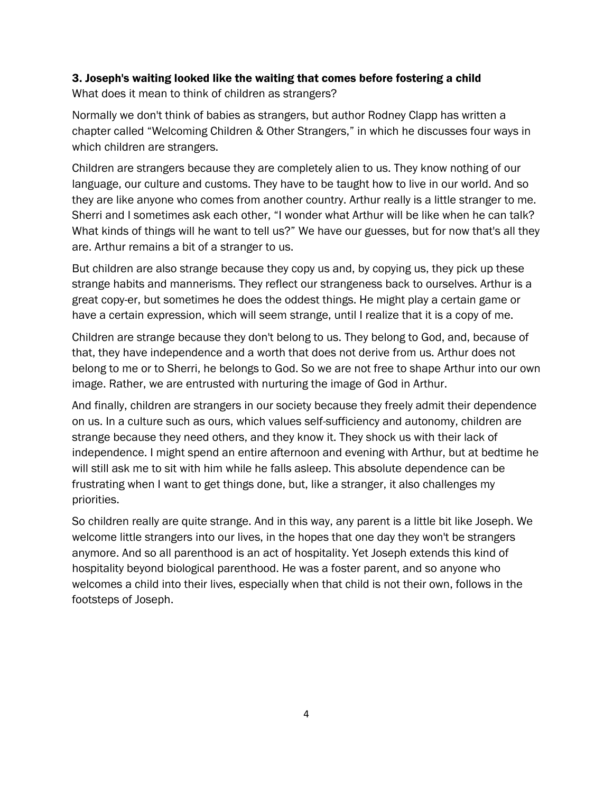# 3. Joseph's waiting looked like the waiting that comes before fostering a child

What does it mean to think of children as strangers?

Normally we don't think of babies as strangers, but author Rodney Clapp has written a chapter called "Welcoming Children & Other Strangers," in which he discusses four ways in which children are strangers.

Children are strangers because they are completely alien to us. They know nothing of our language, our culture and customs. They have to be taught how to live in our world. And so they are like anyone who comes from another country. Arthur really is a little stranger to me. Sherri and I sometimes ask each other, "I wonder what Arthur will be like when he can talk? What kinds of things will he want to tell us?" We have our guesses, but for now that's all they are. Arthur remains a bit of a stranger to us.

But children are also strange because they copy us and, by copying us, they pick up these strange habits and mannerisms. They reflect our strangeness back to ourselves. Arthur is a great copy-er, but sometimes he does the oddest things. He might play a certain game or have a certain expression, which will seem strange, until I realize that it is a copy of me.

Children are strange because they don't belong to us. They belong to God, and, because of that, they have independence and a worth that does not derive from us. Arthur does not belong to me or to Sherri, he belongs to God. So we are not free to shape Arthur into our own image. Rather, we are entrusted with nurturing the image of God in Arthur.

And finally, children are strangers in our society because they freely admit their dependence on us. In a culture such as ours, which values self-sufficiency and autonomy, children are strange because they need others, and they know it. They shock us with their lack of independence. I might spend an entire afternoon and evening with Arthur, but at bedtime he will still ask me to sit with him while he falls asleep. This absolute dependence can be frustrating when I want to get things done, but, like a stranger, it also challenges my priorities.

So children really are quite strange. And in this way, any parent is a little bit like Joseph. We welcome little strangers into our lives, in the hopes that one day they won't be strangers anymore. And so all parenthood is an act of hospitality. Yet Joseph extends this kind of hospitality beyond biological parenthood. He was a foster parent, and so anyone who welcomes a child into their lives, especially when that child is not their own, follows in the footsteps of Joseph.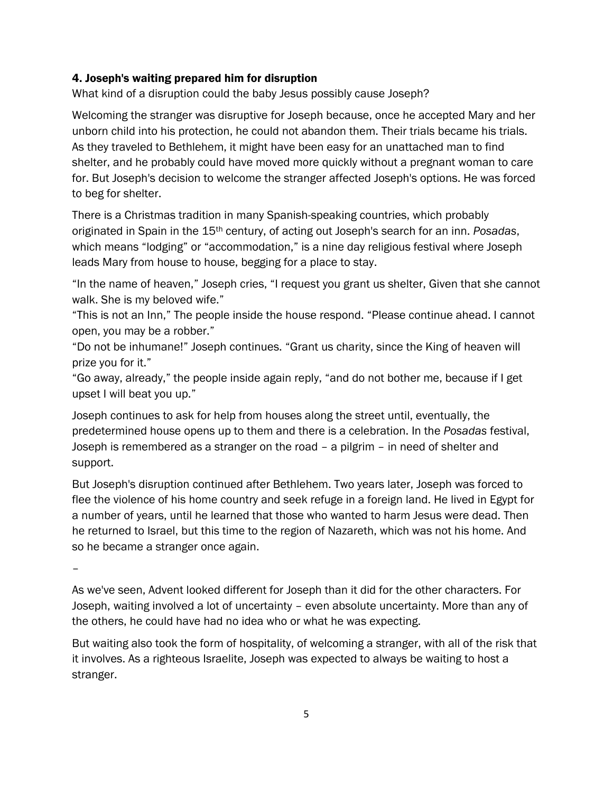## 4. Joseph's waiting prepared him for disruption

What kind of a disruption could the baby Jesus possibly cause Joseph?

Welcoming the stranger was disruptive for Joseph because, once he accepted Mary and her unborn child into his protection, he could not abandon them. Their trials became his trials. As they traveled to Bethlehem, it might have been easy for an unattached man to find shelter, and he probably could have moved more quickly without a pregnant woman to care for. But Joseph's decision to welcome the stranger affected Joseph's options. He was forced to beg for shelter.

There is a Christmas tradition in many Spanish-speaking countries, which probably originated in Spain in the 15th century, of acting out Joseph's search for an inn. *Posadas*, which means "lodging" or "accommodation," is a nine day religious festival where Joseph leads Mary from house to house, begging for a place to stay.

"In the name of heaven," Joseph cries, "I request you grant us shelter, Given that she cannot walk. She is my beloved wife."

"This is not an Inn," The people inside the house respond. "Please continue ahead. I cannot open, you may be a robber."

"Do not be inhumane!" Joseph continues. "Grant us charity, since the King of heaven will prize you for it."

"Go away, already," the people inside again reply, "and do not bother me, because if I get upset I will beat you up."

Joseph continues to ask for help from houses along the street until, eventually, the predetermined house opens up to them and there is a celebration. In the *Posadas* festival, Joseph is remembered as a stranger on the road – a pilgrim – in need of shelter and support.

But Joseph's disruption continued after Bethlehem. Two years later, Joseph was forced to flee the violence of his home country and seek refuge in a foreign land. He lived in Egypt for a number of years, until he learned that those who wanted to harm Jesus were dead. Then he returned to Israel, but this time to the region of Nazareth, which was not his home. And so he became a stranger once again.

–

As we've seen, Advent looked different for Joseph than it did for the other characters. For Joseph, waiting involved a lot of uncertainty – even absolute uncertainty. More than any of the others, he could have had no idea who or what he was expecting.

But waiting also took the form of hospitality, of welcoming a stranger, with all of the risk that it involves. As a righteous Israelite, Joseph was expected to always be waiting to host a stranger.